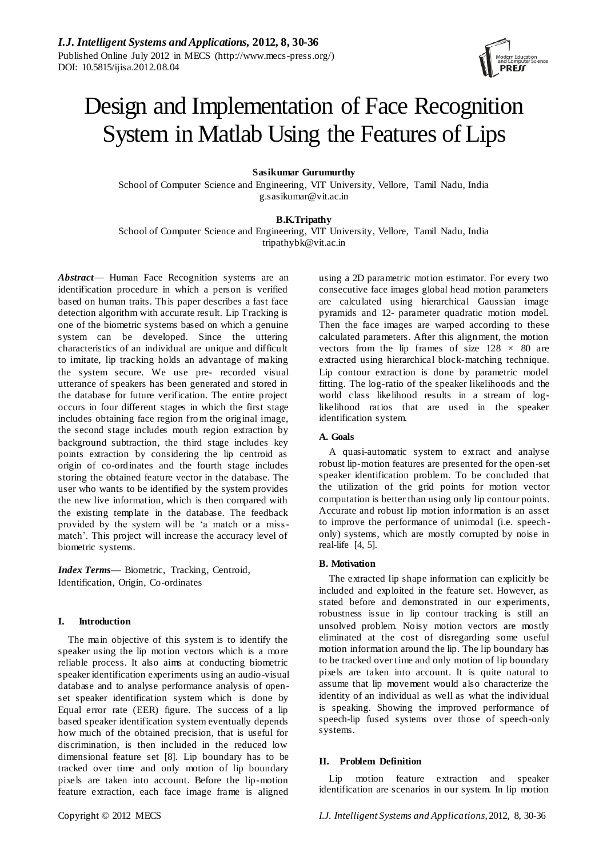

# Design and Implementation of Face Recognition System in Matlab Using the Features of Lips

# **Sasikumar Gurumurthy**

School of Computer Science and Engineering, VIT University, Vellore, Tamil Nadu, India g.sasikumar@vit.ac.in

# **B.K.Tripathy**

School of Computer Science and Engineering, VIT University, Vellore, Tamil Nadu, India tripathybk@vit.ac.in

*Abstract*— Human Face Recognition systems are an identification procedure in which a person is verified based on human traits. This paper describes a fast face detection algorithm with accurate result. Lip Tracking is one of the biometric systems based on which a genuine system can be developed. Since the uttering characteristics of an individual are unique and difficult to imitate, lip tracking holds an advantage of making the system secure. We use pre- recorded visual utterance of speakers has been generated and stored in the database for future verification. The entire project occurs in four different stages in which the first stage includes obtaining face region from the original image, the second stage includes mouth region extraction by background subtraction, the third stage includes key points extraction by considering the lip centroid as origin of co-ordinates and the fourth stage includes storing the obtained feature vector in the database. The user who wants to be identified by the system provides the new live information, which is then compared with the existing template in the database. The feedback provided by the system will be ‗a match or a missmatch'. This project will increase the accuracy level of biometric systems.

*Index Terms—* Biometric, Tracking, Centroid, Identification, Origin, Co-ordinates

## **I. Introduction**

The main objective of this system is to identify the speaker using the lip motion vectors which is a more reliable process. It also aims at conducting biometric speaker identification experiments using an audio-visual database and to analyse performance analysis of openset speaker identification system which is done by Equal error rate (EER) figure. The success of a lip based speaker identification system eventually depends how much of the obtained precision, that is useful for discrimination, is then included in the reduced low dimensional feature set [8]. Lip boundary has to be tracked over time and only motion of lip boundary pixels are taken into account. Before the lip-motion feature extraction, each face image frame is aligned

using a 2D parametric motion estimator. For every two consecutive face images global head motion parameters are calculated using hierarchical Gaussian image pyramids and 12- parameter quadratic motion model. Then the face images are warped according to these calculated parameters. After this alignment, the motion vectors from the lip frames of size  $128 \times 80$  are extracted using hierarchical block-matching technique. Lip contour extraction is done by parametric model fitting. The log-ratio of the speaker likelihoods and the world class likelihood results in a stream of loglikelihood ratios that are used in the speaker identification system.

## **A. Goals**

A quasi-automatic system to extract and analyse robust lip-motion features are presented for the open-set speaker identification problem. To be concluded that the utilization of the grid points for motion vector computation is better than using only lip contour points. Accurate and robust lip motion information is an asset to improve the performance of unimodal (i.e. speechonly) systems, which are mostly corrupted by noise in real-life [4, 5].

## **B. Motivation**

The extracted lip shape information can explicitly be included and exploited in the feature set. However, as stated before and demonstrated in our experiments, robustness issue in lip contour tracking is still an unsolved problem. Noisy motion vectors are mostly eliminated at the cost of disregarding some useful motion information around the lip. The lip boundary has to be tracked over time and only motion of lip boundary pixels are taken into account. It is quite natural to assume that lip movement would also characterize the identity of an individual as well as what the individual is speaking. Showing the improved performance of speech-lip fused systems over those of speech-only systems.

## **II. Problem Definition**

Lip motion feature extraction and speaker identification are scenarios in our system. In lip motion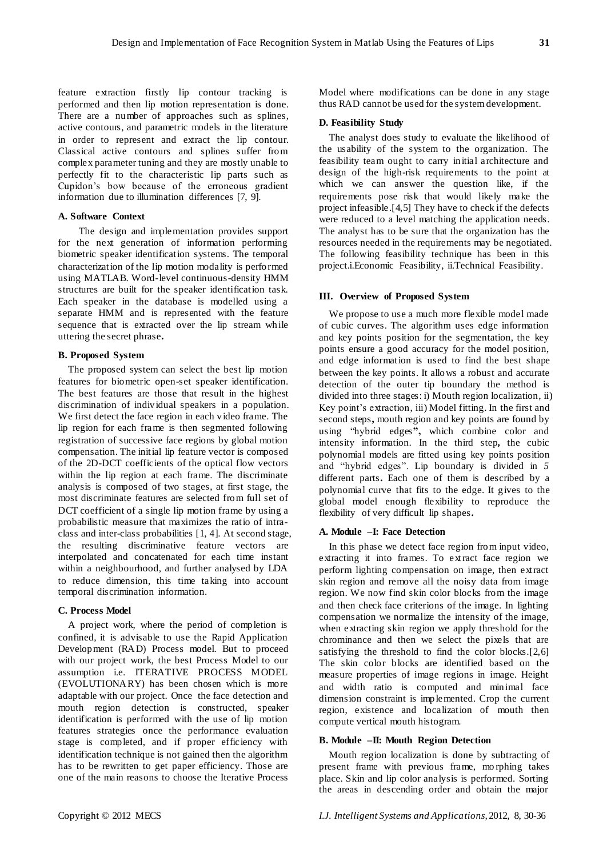feature extraction firstly lip contour tracking is performed and then lip motion representation is done. There are a number of approaches such as splines, active contours, and parametric models in the literature in order to represent and extract the lip contour. Classical active contours and splines suffer from complex parameter tuning and they are mostly unable to perfectly fit to the characteristic lip parts such as Cupidon's bow because of the erroneous gradient information due to illumination differences [7, 9].

### **A. Software Context**

The design and implementation provides support for the next generation of information performing biometric speaker identification systems. The temporal characterization of the lip motion modality is performed using MATLAB. Word-level continuous-density HMM structures are built for the speaker identification task. Each speaker in the database is modelled using a separate HMM and is represented with the feature sequence that is extracted over the lip stream while uttering the secret phrase**.**

#### **B. Proposed System**

The proposed system can select the best lip motion features for biometric open-set speaker identification. The best features are those that result in the highest discrimination of individual speakers in a population. We first detect the face region in each video frame. The lip region for each frame is then segmented following registration of successive face regions by global motion compensation. The initial lip feature vector is composed of the 2D-DCT coefficients of the optical flow vectors within the lip region at each frame. The discriminate analysis is composed of two stages, at first stage, the most discriminate features are selected from full set of DCT coefficient of a single lip motion frame by using a probabilistic measure that maximizes the ratio of intraclass and inter-class probabilities [1, 4]. At second stage, the resulting discriminative feature vectors are interpolated and concatenated for each time instant within a neighbourhood, and further analysed by LDA to reduce dimension, this time taking into account temporal discrimination information.

#### **C. Process Model**

A project work, where the period of completion is confined, it is advisable to use the Rapid Application Development (RAD) Process model. But to proceed with our project work, the best Process Model to our assumption i.e. ITERATIVE PROCESS MODEL (EVOLUTIONARY) has been chosen which is more adaptable with our project. Once the face detection and mouth region detection is constructed, speaker identification is performed with the use of lip motion features strategies once the performance evaluation stage is completed, and if proper efficiency with identification technique is not gained then the algorithm has to be rewritten to get paper efficiency. Those are one of the main reasons to choose the Iterative Process

Model where modifications can be done in any stage thus RAD cannot be used for the system development.

## **D. Feasibility Study**

The analyst does study to evaluate the likelihood of the usability of the system to the organization. The feasibility team ought to carry initial architecture and design of the high-risk requirements to the point at which we can answer the question like, if the requirements pose risk that would likely make the project infeasible.[4,5] They have to check if the defects were reduced to a level matching the application needs. The analyst has to be sure that the organization has the resources needed in the requirements may be negotiated. The following feasibility technique has been in this project.i.Economic Feasibility, ii.Technical Feasibility.

## **III. Overview of Proposed System**

We propose to use a much more flexible model made of cubic curves. The algorithm uses edge information and key points position for the segmentation, the key points ensure a good accuracy for the model position, and edge information is used to find the best shape between the key points. It allows a robust and accurate detection of the outer tip boundary the method is divided into three stages: i) Mouth region localization, ii) Key point's extraction, iii) Model fitting. In the first and second steps**,** mouth region and key points are found by using "hybrid edges", which combine color and intensity information. In the third step*,* the cubic polynomial models are fitted using key points position and "hybrid edges". Lip boundary is divided in 5 different parts**.** Each one of them is described by a polynomial curve that fits to the edge. It gives to the global model enough flexibility to reproduce the flexibility of very difficult lip shapes**.**

## **A. Module –I: Face Detection**

In this phase we detect face region from input video, extracting it into frames. To extract face region we perform lighting compensation on image, then extract skin region and remove all the noisy data from image region. We now find skin color blocks from the image and then check face criterions of the image. In lighting compensation we normalize the intensity of the image, when extracting skin region we apply threshold for the chrominance and then we select the pixels that are satisfying the threshold to find the color blocks.[2,6] The skin color blocks are identified based on the measure properties of image regions in image. Height and width ratio is computed and minimal face dimension constraint is implemented. Crop the current region, existence and localization of mouth then compute vertical mouth histogram.

## **B. Module –II: Mouth Region Detection**

Mouth region localization is done by subtracting of present frame with previous frame, mo rphing takes place. Skin and lip color analysis is performed. Sorting the areas in descending order and obtain the major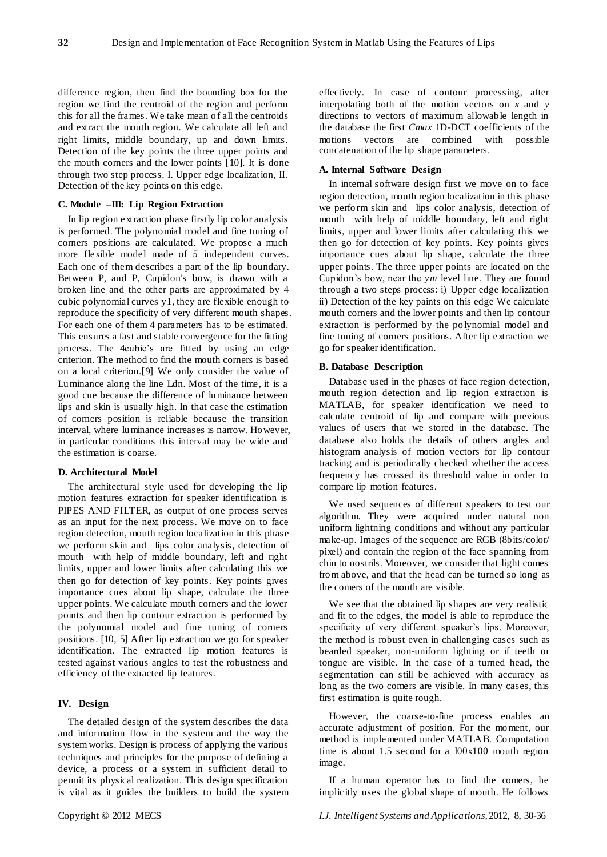difference region, then find the bounding box for the region we find the centroid of the region and perform this for all the frames. We take mean of all the centroids and extract the mouth region. We calculate all left and right limits, middle boundary, up and down limits. Detection of the key points the three upper points and the mouth corners and the lower points [10]. It is done through two step process. I. Upper edge localization, II. Detection of the key points on this edge.

## **C. Module –III: Lip Region Extraction**

In lip region extraction phase firstly lip color analysis is performed. The polynomial model and fine tuning of corners positions are calculated. We propose a much more flexible model made of *5* independent curves. Each one of them describes a part of the lip boundary. Between P, and P, Cupidon's bow, is drawn with a broken line and the other parts are approximated by 4 cubic polynomial curves y1, they are flexible enough to reproduce the specificity of very different mouth shapes. For each one of them 4 parameters has to be estimated. This ensures a fast and stable convergence for the fitting process. The 4cubic's are fitted by using an edge criterion. The method to find the mouth corners is based on a local criterion.[9] We only consider the value of Luminance along the line Ldn. Most of the time, it is a good cue because the difference of luminance between lips and skin is usually high. In that case the estimation of corners position is reliable because the transition interval, where luminance increases is narrow. However, in particular conditions this interval may be wide and the estimation is coarse.

## **D. Architectural Model**

The architectural style used for developing the lip motion features extraction for speaker identification is PIPES AND FILTER, as output of one process serves as an input for the next process. We move on to face region detection, mouth region localization in this phase we perform skin and lips color analysis, detection of mouth with help of middle boundary, left and right limits, upper and lower limits after calculating this we then go for detection of key points. Key points gives importance cues about lip shape, calculate the three upper points. We calculate mouth corners and the lower points and then lip contour extraction is performed by the polynomial model and fine tuning of corners positions. [10, 5] After lip extraction we go for speaker identification. The extracted lip motion features is tested against various angles to test the robustness and efficiency of the extracted lip features.

#### **IV. Design**

The detailed design of the system describes the data and information flow in the system and the way the system works. Design is process of applying the various techniques and principles for the purpose of defining a device, a process or a system in sufficient detail to permit its physical realization. This design specification is vital as it guides the builders to build the system effectively. In case of contour processing, after interpolating both of the motion vectors on *x* and *y*  directions to vectors of maximum allowable length in the database the first *Cmax* 1D-DCT coefficients of the motions vectors are combined with possible concatenation of the lip shape parameters.

# **A. Internal Software Design**

In internal software design first we move on to face region detection, mouth region localization in this phase we perform skin and lips color analysis, detection of mouth with help of middle boundary, left and right limits, upper and lower limits after calculating this we then go for detection of key points. Key points gives importance cues about lip shape, calculate the three upper points. The three upper points are located on the Cupidon's bow, near the *ym* level line. They are found through a two steps process: i) Upper edge localization ii) Detection of the key paints on this edge We calculate mouth corners and the lower points and then lip contour extraction is performed by the polynomial model and fine tuning of corners positions. After lip extraction we go for speaker identification.

#### **B. Database Description**

Database used in the phases of face region detection, mouth region detection and lip region extraction is MATLAB, for speaker identification we need to calculate centroid of lip and compare with previous values of users that we stored in the database. The database also holds the details of others angles and histogram analysis of motion vectors for lip contour tracking and is periodically checked whether the access frequency has crossed its threshold value in order to compare lip motion features.

We used sequences of different speakers to test our algorithm. They were acquired under natural non uniform lightning conditions and without any particular make-up. Images of the sequence are RGB (8bits/color/ pixel) and contain the region of the face spanning from chin to nostrils. Moreover, we consider that light comes from above, and that the head can be turned so long as the comers of the mouth are visible.

We see that the obtained lip shapes are very realistic and fit to the edges, the model is able to reproduce the specificity of very different speaker's lips. Moreover, the method is robust even in challenging cases such as bearded speaker, non-uniform lighting or if teeth or tongue are visible. In the case of a turned head, the segmentation can still be achieved with accuracy as long as the two comers are visible. In many cases, this first estimation is quite rough.

However, the coarse-to-fine process enables an accurate adjustment of position. For the moment, our method is implemented under MATLAB. Computation time is about 1.5 second for a l00x100 mouth region image.

If a human operator has to find the comers, he implicitly uses the global shape of mouth. He follows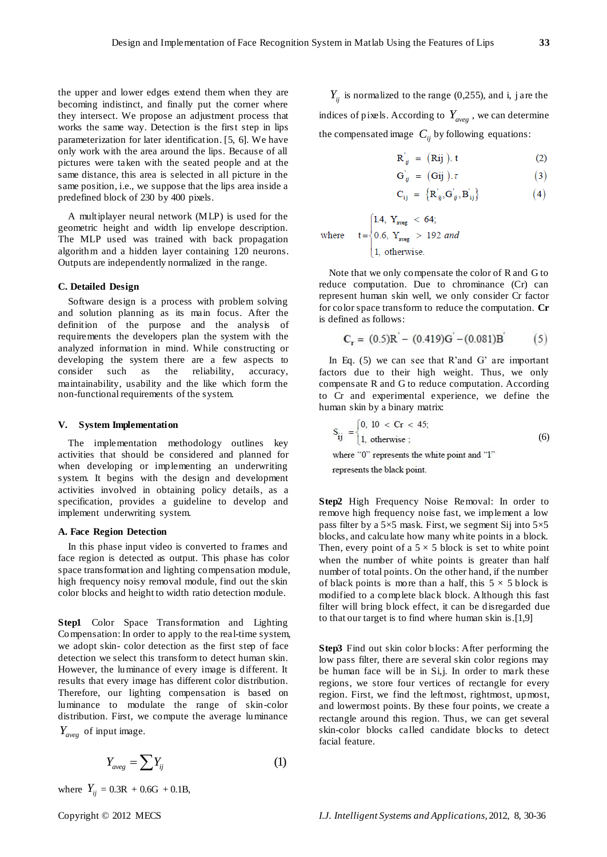the upper and lower edges extend them when they are becoming indistinct, and finally put the corner where they intersect. We propose an adjustment process that works the same way. Detection is the first step in lips parameterization for later identification. [5, 6]. We have only work with the area around the lips. Because of all pictures were taken with the seated people and at the same distance, this area is selected in all picture in the same position, i.e., we suppose that the lips area inside a predefined block of 230 by 400 pixels.

A multiplayer neural network (MLP) is used for the geometric height and width lip envelope description. The MLP used was trained with back propagation algorithm and a hidden layer containing 120 neurons. Outputs are independently normalized in the range.

### **C. Detailed Design**

Software design is a process with problem solving and solution planning as its main focus. After the definition of the purpose and the analysis of requirements the developers plan the system with the analyzed information in mind. While constructing or developing the system there are a few aspects to consider such as the reliability, accuracy, maintainability, usability and the like which form the non-functional requirements of the system.

#### **V. System Implementation**

The implementation methodology outlines key activities that should be considered and planned for when developing or implementing an underwriting system. It begins with the design and development activities involved in obtaining policy details, as a specification, provides a guideline to develop and implement underwriting system.

#### **A. Face Region Detection**

In this phase input video is converted to frames and face region is detected as output. This phase has color space transformation and lighting compensation module, high frequency noisy removal module, find out the skin color blocks and height to width ratio detection module.

**Step1** Color Space Transformation and Lighting Compensation: In order to apply to the real-time system, we adopt skin- color detection as the first step of face detection we select this transform to detect human skin. However, the luminance of every image is different. It results that every image has different color distribution. Therefore, our lighting compensation is based on luminance to modulate the range of skin-color distribution. First, we compute the average luminance *Y aveg* of input image.

$$
Y_{\text{aveg}} = \sum Y_{ij} \tag{1}
$$

where  $Y_{ij} = 0.3R + 0.6G + 0.1B$ ,

 $Y_{ij}$  is normalized to the range (0,255), and i, j are the indices of pixels. According to  $Y_{\text{aveg}}$ , we can determine the compensated image  $C_{ij}$  by following equations:

$$
\mathbf{R}_{ij} = (\mathbf{Rij}) \cdot \mathbf{t} \tag{2}
$$

$$
\mathbf{G}_{ij}^{'} = (\mathbf{Gij}) \cdot \tau \tag{3}
$$

$$
\mathbf{C}_{ij} = \{ \mathbf{R}_{ij}^{\dagger}, \mathbf{G}_{ij}^{\dagger}, \mathbf{B}_{ij}^{\dagger} \} \tag{4}
$$

where  $t = \begin{cases} 1.4, Y_{\text{avg}} < 64; \\ 0.6, Y_{\text{avg}} > 192 \text{ and} \\ 1, \text{ otherwise.} \end{cases}$ 

Note that we only compensate the color of R and G to reduce computation. Due to chrominance (Cr) can represent human skin well, we only consider Cr factor for color space transform to reduce the computation. **Cr** is defined as follows:

$$
C_r = (0.5)R - (0.419)G - (0.081)B
$$
 (5)

In Eq.  $(5)$  we can see that R'and G' are important factors due to their high weight. Thus, we only compensate R and G to reduce computation. According to Cr and experimental experience, we define the human skin by a binary matrix:

$$
S_{ij} = \begin{cases} 0, & 10 < Cr < 45; \\ 1, & \text{otherwise}; \end{cases}
$$
 (6)

where "0" represents the white point and "1"

represents the black point.

**Step2** High Frequency Noise Removal: In order to remove high frequency noise fast, we implement a low pass filter by a  $5 \times 5$  mask. First, we segment Sij into  $5 \times 5$ blocks, and calculate how many white points in a block. Then, every point of a  $5 \times 5$  block is set to white point when the number of white points is greater than half number of total points. On the other hand, if the number of black points is more than a half, this  $5 \times 5$  block is modified to a complete black block. Although this fast filter will bring block effect, it can be disregarded due to that our target is to find where human skin is.[1,9]

**Step3** Find out skin color blocks: After performing the low pass filter, there are several skin color regions may be human face will be in Si,j. In order to mark these regions, we store four vertices of rectangle for every region. First, we find the leftmost, rightmost, upmost, and lowermost points. By these four points, we create a rectangle around this region. Thus, we can get several skin-color blocks called candidate blocks to detect facial feature.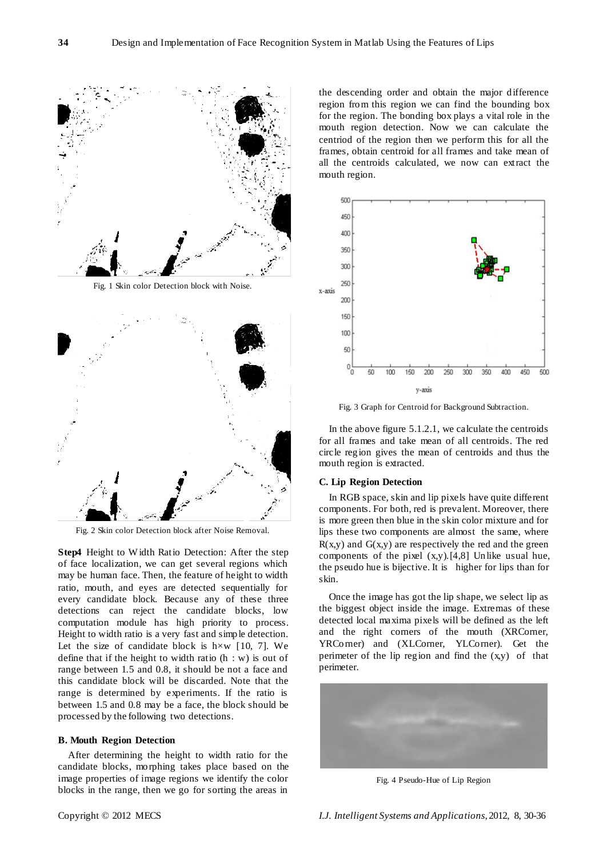

Fig. 1 Skin color Detection block with Noise.



Fig. 2 Skin color Detection block after Noise Removal.

**Step4** Height to W idth Ratio Detection: After the step of face localization, we can get several regions which may be human face. Then, the feature of height to width ratio, mouth, and eyes are detected sequentially for every candidate block. Because any of these three detections can reject the candidate blocks, low computation module has high priority to process. Height to width ratio is a very fast and simple detection. Let the size of candidate block is  $h \times w$  [10, 7]. We define that if the height to width ratio (h : w) is out of range between 1.5 and 0.8, it should be not a face and this candidate block will be discarded. Note that the range is determined by experiments. If the ratio is between 1.5 and 0.8 may be a face, the block should be processed by the following two detections.

### **B. Mouth Region Detection**

After determining the height to width ratio for the candidate blocks, morphing takes place based on the image properties of image regions we identify the color blocks in the range, then we go for sorting the areas in

the descending order and obtain the major difference region from this region we can find the bounding box for the region. The bonding box plays a vital role in the mouth region detection. Now we can calculate the centriod of the region then we perform this for all the frames, obtain centroid for all frames and take mean of all the centroids calculated, we now can extract the mouth region.



Fig. 3 Graph for Centroid for Background Subtraction.

In the above figure 5.1.2.1, we calculate the centroids for all frames and take mean of all centroids. The red circle region gives the mean of centroids and thus the mouth region is extracted.

### **C. Lip Region Detection**

In RGB space, skin and lip pixels have quite different components. For both, red is prevalent. Moreover, there is more green then blue in the skin color mixture and for lips these two components are almost the same, where  $R(x,y)$  and  $G(x,y)$  are respectively the red and the green components of the pixel  $(x,y)$ . [4,8] Unlike usual hue, the pseudo hue is bijective. It is higher for lips than for skin.

Once the image has got the lip shape, we select lip as the biggest object inside the image. Extremas of these detected local maxima pixels will be defined as the left and the right corners of the mouth (XRCorner, YRCorner) and (XLCorner, YLCorner). Get the perimeter of the lip region and find the (x,y) of that perimeter.



Fig. 4 Pseudo-Hue of Lip Region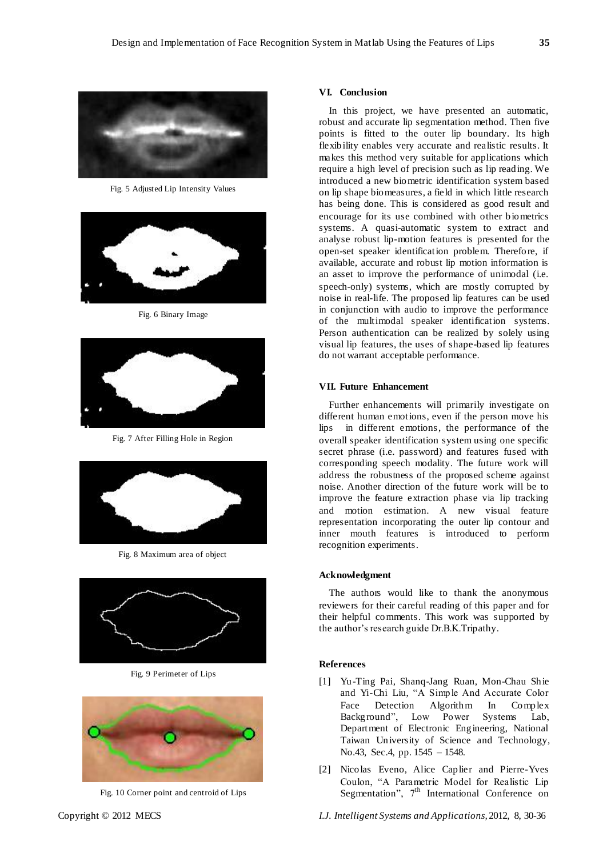

Fig. 5 Adjusted Lip Intensity Values



Fig. 6 Binary Image



Fig. 7 After Filling Hole in Region



Fig. 8 Maximum area of object



Fig. 9 Perimeter of Lips



Fig. 10 Corner point and centroid of Lips

# **VI. Conclusion**

In this project, we have presented an automatic, robust and accurate lip segmentation method. Then five points is fitted to the outer lip boundary. Its high flexibility enables very accurate and realistic results. It makes this method very suitable for applications which require a high level of precision such as lip reading. We introduced a new biometric identification system based on lip shape biomeasures, a field in which little research has being done. This is considered as good result and encourage for its use combined with other biometrics systems. A quasi-automatic system to extract and analyse robust lip-motion features is presented for the open-set speaker identification problem. Therefore, if available, accurate and robust lip motion information is an asset to improve the performance of unimodal (i.e. speech-only) systems, which are mostly corrupted by noise in real-life. The proposed lip features can be used in conjunction with audio to improve the performance of the multimodal speaker identification systems. Person authentication can be realized by solely using visual lip features, the uses of shape-based lip features do not warrant acceptable performance.

## **VII. Future Enhancement**

Further enhancements will primarily investigate on different human emotions, even if the person move his lips in different emotions, the performance of the overall speaker identification system using one specific secret phrase (i.e. password) and features fused with corresponding speech modality. The future work will address the robustness of the proposed scheme against noise. Another direction of the future work will be to improve the feature extraction phase via lip tracking and motion estimation. A new visual feature representation incorporating the outer lip contour and inner mouth features is introduced to perform recognition experiments.

# **Acknowledgment**

The authors would like to thank the anonymous reviewers for their careful reading of this paper and for their helpful comments. This work was supported by the author's research guide Dr.B.K.Tripathy.

# **References**

- [1] Yu-Ting Pai, Shanq-Jang Ruan, Mon-Chau Shie and Yi-Chi Liu, "A Simple And Accurate Color Face Detection Algorithm In Complex Background", Low Power Systems Lab, Department of Electronic Engineering, National Taiwan University of Science and Technology, No.43, Sec.4, pp. 1545 – 1548.
- [2] Nicolas Eveno, Alice Caplier and Pierre-Yves Coulon, "A Parametric Model for Realistic Lip Segmentation", 7<sup>th</sup> International Conference on

Copyright © 2012 MECS *I.J. Intelligent Systems and Applications,* 2012, 8, 30-36